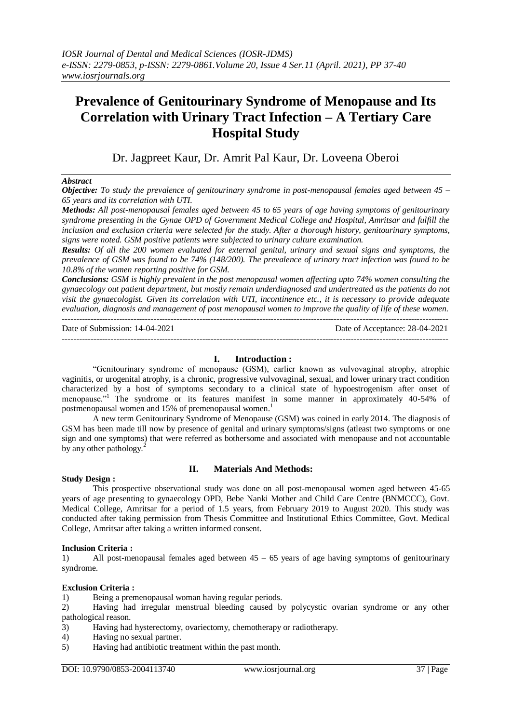# **Prevalence of Genitourinary Syndrome of Menopause and Its Correlation with Urinary Tract Infection – A Tertiary Care Hospital Study**

Dr. Jagpreet Kaur, Dr. Amrit Pal Kaur, Dr. Loveena Oberoi

## *Abstract*

*Objective: To study the prevalence of genitourinary syndrome in post-menopausal females aged between 45 – 65 years and its correlation with UTI.*

*Methods: All post-menopausal females aged between 45 to 65 years of age having symptoms of genitourinary syndrome presenting in the Gynae OPD of Government Medical College and Hospital, Amritsar and fulfill the inclusion and exclusion criteria were selected for the study. After a thorough history, genitourinary symptoms, signs were noted. GSM positive patients were subjected to urinary culture examination.* 

*Results: Of all the 200 women evaluated for external genital, urinary and sexual signs and symptoms, the prevalence of GSM was found to be 74% (148/200). The prevalence of urinary tract infection was found to be 10.8% of the women reporting positive for GSM.*

*Conclusions: GSM is highly prevalent in the post menopausal women affecting upto 74% women consulting the gynaecology out patient department, but mostly remain underdiagnosed and undertreated as the patients do not visit the gynaecologist. Given its correlation with UTI, incontinence etc., it is necessary to provide adequate evaluation, diagnosis and management of post menopausal women to improve the quality of life of these women.*  ---------------------------------------------------------------------------------------------------------------------------------------

Date of Submission: 14-04-2021 Date of Acceptance: 28-04-2021

# **I. Introduction :**

---------------------------------------------------------------------------------------------------------------------------------------

"Genitourinary syndrome of menopause (GSM), earlier known as vulvovaginal atrophy, atrophic vaginitis, or urogenital atrophy, is a chronic, progressive vulvovaginal, sexual, and lower urinary tract condition characterized by a host of symptoms secondary to a clinical state of hypoestrogenism after onset of menopause."<sup>1</sup> The syndrome or its features manifest in some manner in approximately 40-54% of postmenopausal women and 15% of premenopausal women.<sup>1</sup>

A new term Genitourinary Syndrome of Menopause (GSM) was coined in early 2014. The diagnosis of GSM has been made till now by presence of genital and urinary symptoms/signs (atleast two symptoms or one sign and one symptoms) that were referred as bothersome and associated with menopause and not accountable by any other pathology.<sup>2</sup>

## **Study Design :**

# **II. Materials And Methods:**

This prospective observational study was done on all post-menopausal women aged between 45-65 years of age presenting to gynaecology OPD, Bebe Nanki Mother and Child Care Centre (BNMCCC), Govt. Medical College, Amritsar for a period of 1.5 years, from February 2019 to August 2020. This study was conducted after taking permission from Thesis Committee and Institutional Ethics Committee, Govt. Medical College, Amritsar after taking a written informed consent.

## **Inclusion Criteria :**

1) All post-menopausal females aged between 45 – 65 years of age having symptoms of genitourinary syndrome.

# **Exclusion Criteria :**

1) Being a premenopausal woman having regular periods.

2) Having had irregular menstrual bleeding caused by polycystic ovarian syndrome or any other pathological reason.

- 3) Having had hysterectomy, ovariectomy, chemotherapy or radiotherapy.
- 4) Having no sexual partner.
- 5) Having had antibiotic treatment within the past month.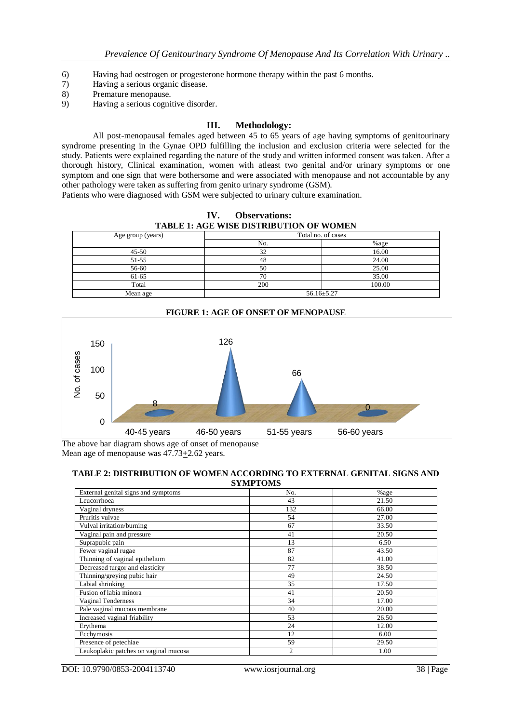- 6) Having had oestrogen or progesterone hormone therapy within the past 6 months.
- 7) Having a serious organic disease.
- 8) Premature menopause.
- 9) Having a serious cognitive disorder.

## **III. Methodology:**

All post-menopausal females aged between 45 to 65 years of age having symptoms of genitourinary syndrome presenting in the Gynae OPD fulfilling the inclusion and exclusion criteria were selected for the study. Patients were explained regarding the nature of the study and written informed consent was taken. After a thorough history, Clinical examination, women with atleast two genital and/or urinary symptoms or one symptom and one sign that were bothersome and were associated with menopause and not accountable by any other pathology were taken as suffering from genito urinary syndrome (GSM).

Patients who were diagnosed with GSM were subjected to urinary culture examination.

**IV. Observations: TABLE 1: AGE WISE DISTRIBUTION OF WOMEN**

| Age group (years) | Total no. of cases |        |  |
|-------------------|--------------------|--------|--|
|                   | No.                | %age   |  |
| $45 - 50$         | 32                 | 16.00  |  |
| 51-55             | 48                 | 24.00  |  |
| 56-60             | 50                 | 25.00  |  |
| 61-65             | 70                 | 35.00  |  |
| Total             | 200                | 100.00 |  |
| Mean age          | $56.16 \pm 5.27$   |        |  |



Mean age of menopause was  $47.73 \pm 2.62$  years.

#### **TABLE 2: DISTRIBUTION OF WOMEN ACCORDING TO EXTERNAL GENITAL SIGNS AND SYMPTOMS**

| ,,,,,,,,,,,,,,,,,,                    |                |       |  |
|---------------------------------------|----------------|-------|--|
| External genital signs and symptoms   | No.            | %age  |  |
| Leucorrhoea                           | 43             | 21.50 |  |
| Vaginal dryness                       | 132            | 66.00 |  |
| Pruritis vulvae                       | 54             | 27.00 |  |
| Vulval irritation/burning             | 67             | 33.50 |  |
| Vaginal pain and pressure             | 41             | 20.50 |  |
| Suprapubic pain                       | 13             | 6.50  |  |
| Fewer vaginal rugae                   | 87             | 43.50 |  |
| Thinning of vaginal epithelium        | 82             | 41.00 |  |
| Decreased turgor and elasticity       | 77             | 38.50 |  |
| Thinning/greying pubic hair           | 49             | 24.50 |  |
| Labial shrinking                      | 35             | 17.50 |  |
| Fusion of labia minora                | 41             | 20.50 |  |
| Vaginal Tenderness                    | 34             | 17.00 |  |
| Pale vaginal mucous membrane          | 40             | 20.00 |  |
| Increased vaginal friability          | 53             | 26.50 |  |
| Erythema                              | 24             | 12.00 |  |
| Ecchymosis                            | 12             | 6.00  |  |
| Presence of petechiae                 | 59             | 29.50 |  |
| Leukoplakic patches on vaginal mucosa | $\overline{2}$ | 1.00  |  |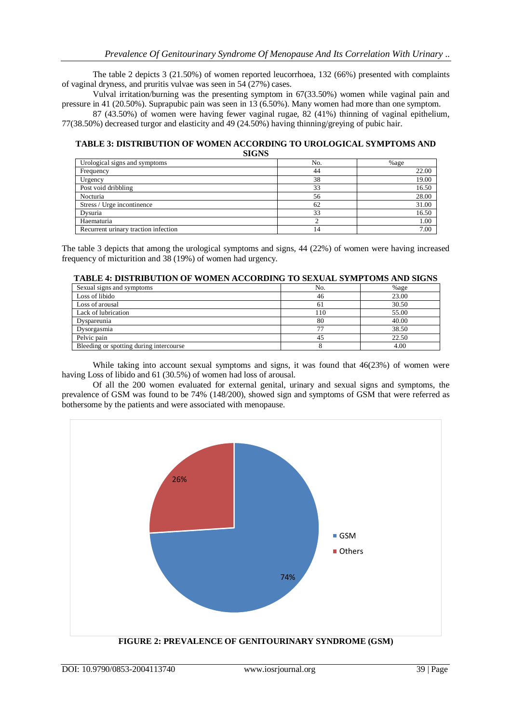The table 2 depicts 3 (21.50%) of women reported leucorrhoea, 132 (66%) presented with complaints of vaginal dryness, and pruritis vulvae was seen in 54  $(27%)$  cases.

Vulval irritation/burning was the presenting symptom in 67(33.50%) women while vaginal pain and pressure in 41 (20.50%). Suprapubic pain was seen in 13 (6.50%). Many women had more than one symptom.

87 (43.50%) of women were having fewer vaginal rugae, 82 (41%) thinning of vaginal epithelium, 77(38.50%) decreased turgor and elasticity and 49 (24.50%) having thinning/greying of pubic hair.

## **TABLE 3: DISTRIBUTION OF WOMEN ACCORDING TO UROLOGICAL SYMPTOMS AND SIGNS**

| Urological signs and symptoms        | No. | %age  |
|--------------------------------------|-----|-------|
| Frequency                            | 44  | 22.00 |
| Urgency                              | 38  | 19.00 |
| Post void dribbling                  | 33  | 16.50 |
| Nocturia                             | 56  | 28.00 |
| Stress / Urge incontinence           | 62  | 31.00 |
| Dysuria                              | 33  | 16.50 |
| Haematuria                           |     | 1.00  |
| Recurrent urinary traction infection | 14  | 7.00  |

The table 3 depicts that among the urological symptoms and signs, 44 (22%) of women were having increased frequency of micturition and 38 (19%) of women had urgency.

# **TABLE 4: DISTRIBUTION OF WOMEN ACCORDING TO SEXUAL SYMPTOMS AND SIGNS**

| Sexual signs and symptoms               | No. | $\%$ age |
|-----------------------------------------|-----|----------|
| Loss of libido                          | 46  | 23.00    |
| Loss of arousal                         | 61  | 30.50    |
| Lack of lubrication                     | 110 | 55.00    |
| Dyspareunia                             | 80  | 40.00    |
| Dysorgasmia                             | 77  | 38.50    |
| Pelvic pain                             | 45  | 22.50    |
| Bleeding or spotting during intercourse |     | 4.00     |

While taking into account sexual symptoms and signs, it was found that 46(23%) of women were having Loss of libido and 61 (30.5%) of women had loss of arousal.

Of all the 200 women evaluated for external genital, urinary and sexual signs and symptoms, the prevalence of GSM was found to be 74% (148/200), showed sign and symptoms of GSM that were referred as bothersome by the patients and were associated with menopause.